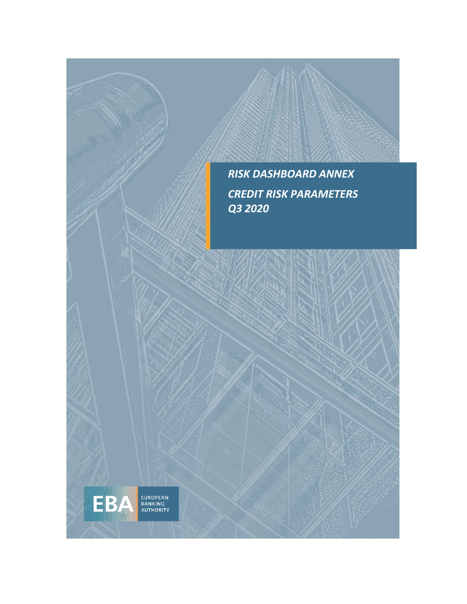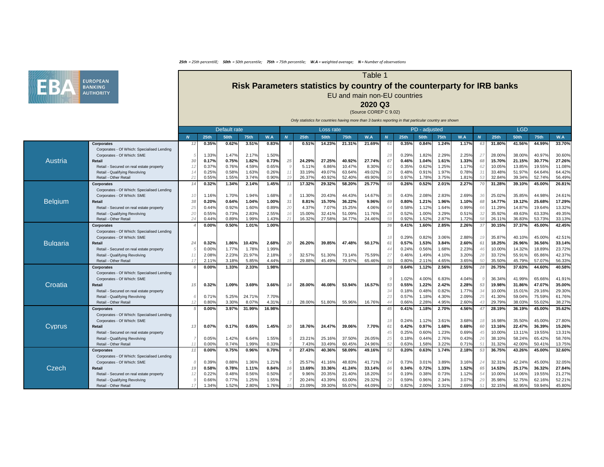

|                 |                                                                           | Default rate |                |                |                 |                |    |             | Loss rate   |        |        |    |                | PD - adjusted  |                |                |      |                  | <b>LGD</b>       |                  |                  |
|-----------------|---------------------------------------------------------------------------|--------------|----------------|----------------|-----------------|----------------|----|-------------|-------------|--------|--------|----|----------------|----------------|----------------|----------------|------|------------------|------------------|------------------|------------------|
|                 |                                                                           |              | <b>25th</b>    | <b>50th</b>    | 75th            | W.A            |    | <b>25th</b> | <b>50th</b> | 75th   | W.A    |    | 25th           | <b>50th</b>    | <b>75th</b>    | W.A            |      | <b>25th</b>      | <b>50th</b>      | 75th             | W.A              |
|                 | <b>Corporates</b>                                                         |              | 0.35%          | 0.62%          | 3.51%           | 0.83%          |    | 0.51%       | 14.23%      | 21.31% | 21.69% |    | 0.35%          | 0.84%          | 1.24%          | 1.17%          | 63   | 31.80%           | 41.56%           | 44.99%           | 33.70%           |
|                 | Corporates - Of Which: Specialised Lending                                |              |                |                |                 |                |    |             |             |        |        |    |                |                |                |                |      |                  |                  |                  |                  |
|                 | Corporates - Of Which: SME                                                |              | 1.33%          | 1.47%          | 2.17%           | 1.50%          |    |             |             |        |        | 28 | 0.29%          | 1.82%          | 2.29%          | 2.25%          | 27   | 28.00%           | 38.00%           | 40.97%           | 30.60%           |
| <b>Austria</b>  | <b>Retail</b>                                                             |              | 0.17%          | 0.75%          | 1.82%           | 0.73%          | 25 | 24.29%      | 27.25%      | 40.92% | 27.74% |    | 0.46%          | 1.04%          | 1.61%          | 1.33%          | 68   | 15.70%           | 21.15%           | 30.77%           | 27.26%           |
|                 | - Secured on real estate property<br>Retail ·                             |              | 0.37%          | 0.76%          | 4.59%           | 0.65%          |    | 5.11%       | 6.86%       | 10.47% | 8.30%  |    | 0.35%          | 0.62%          | 1.25%          | 1.17%          | 62   | 10.05%           | 13.85%           | 19.55%           | 11.08%           |
|                 | Retail - Qualifying Revolving                                             |              | 0.25%          | 0.58%          | 1.63%           | 0.26%          |    | 33.19%      | 49.07%      | 63.64% | 49.02% | 29 | 0.48%          | 0.91%          | 1.97%          | 0.78%          |      | 33.48%           | 51.97%           | 64.64%           | 64.42%           |
|                 | Retail - Other Retail                                                     |              | 0.55%          | 1.55%          | 3.74%           | 0.90%          |    | 26.37%      | 40.92%      | 52.40% | 49.90% |    | 0.97%          | 1.78%          | 3.75%          | 1.81%          | 53   | 32.84%           | 39.34%           | 52.74%           | 56.49%           |
|                 | <b>Corporates</b>                                                         |              | 0.32%          | 1.34%          | 2.14%           | 1.45%          |    | 17.32%      | 29.32%      | 58.20% | 25.77% |    | 0.26%          | 0.52%          | 2.01%          | 2.27%          |      | 31.28%           | 39.10%           | 45.00%           | 26.81%           |
|                 | Corporates - Of Which: Specialised Lending                                |              |                |                |                 |                |    |             |             |        |        |    |                |                |                |                |      |                  |                  |                  |                  |
|                 | Corporates - Of Which: SME                                                | 10           | 1.16%          | 1.70%          | 1.94%           | 1.68%          |    | 11.30%      | 20.43%      | 44.43% | 14.67% | 36 | 0.43%          | 2.08%          | 2.83%          | 2.69%          | 36   | 25.02%           | 35.85%           | 44.98%           | 24.61%           |
| <b>Belgium</b>  | <b>Retail</b>                                                             |              | 0.20%          | 0.64%          | 1.04%           | 1.00%          |    | 8.81%       | 15.70%      | 36.22% | 9.96%  |    | 0.80%          | 1.21%          | 1.96%          | 1.10%          | 68   | 14.77%           | 19.12%           | 25.68%           | 17.29%           |
|                 | Retail - Secured on real estate property                                  |              | 0.44%          | 0.92%          | 1.60%           | 0.89%          | 20 | 4.37%       | 7.07%       | 15.25% | 4.06%  |    | 0.58%          | 1.12%          | 1.64%          | 0.99%          | 66   | 11.29%           | 14.87%           | 19.64%           | 13.32%           |
|                 | Retail - Qualifying Revolving                                             |              | 0.55%          | 0.73%          | 2.83%           | 2.55%          |    | 15.00%      | 32.41%      | 51.09% | 11.76% |    | 0.52%          | 1.00%          | 3.29%          | 0.51%          |      | 35.92%           | 49.63%           | 63.33%           | 49.35%           |
|                 | Retail - Other Retail                                                     |              | 0.44%          | 0.89%          | 1.99%           | .43%           |    | 16.32%      | 27.58%      | 34.77% | 24.46% |    | 0.92%          | 1.52%          | 2.87%          | 1.72%          |      | 26.11%           | 36.83%           | 53.73%           | 33.13%           |
|                 | <b>Corporates</b>                                                         |              | 0.00%          | 0.50%          | 1.01%           | 1.00%          |    |             |             |        |        | 36 | 0.41%          | 1.60%          | 2.85%          | 2.26%          | 37   | 30.15%           | 37.37%           | 45.00%           | 42.45%           |
|                 | Corporates - Of Which: Specialised Lending                                |              |                |                |                 |                |    |             |             |        |        |    |                |                |                |                |      |                  |                  |                  |                  |
|                 | Corporates - Of Which: SME                                                |              |                |                |                 |                |    |             |             |        |        | 18 | 0.29%          | 0.82%          | 3.06%          | 2.88%          | 19   | 35.87%           | 40.10%           | 45.00%           | 42.51%           |
| <b>Bulgaria</b> | <b>Retail</b>                                                             |              | 0.32%          | 1.86%          | 10.43%          | 2.68%          | 20 | 26.20%      | 39.85%      | 47.48% | 50.17% |    | 0.57%          | 1.53%          | 3.84%          | 2.60%          |      | 18.25%           | 26.96%           | 36.56%           | 33.14%           |
|                 | Retail - Secured on real estate property                                  |              | 0.00%          | 1.77%          | 1.78%           | 1.99%          |    |             |             |        |        |    | 0.24%          | 0.56%          | 1.68%          | 2.23%          | 46   | 10.00%           | 14.32%           | 18.89%           | 23.72%           |
|                 | Retail - Qualifying Revolving                                             |              | 2.08%          | 2.23%          | 21.97%          | 2.18%          |    | 32.57%      | 51.30%      | 73.14% | 75.59% |    | 0.46%          | 1.49%          | 4.10%          | 3.20%          | 28   | 33.72%           | 55.91%           | 65.86%           | 42.37%           |
|                 | Retail - Other Retail                                                     |              | 2.11%          | 3.18%          | 5.85%           | 4.44%          |    | 29.88%      | 45.49%      | 70.97% | 65.46% |    | 0.80%          | 2.11%          | 4.65%          | 3.65%          |      | 35.50%           | 45.79%           | 57.07%           | 56.33%           |
|                 | <b>Corporates</b>                                                         |              | 0.00%          | 1.33%          | 2.33%           | 1.98%          |    |             |             |        |        | 26 | 0.64%          | 1.12%          | 2.56%          | 2.55%          | 28   | 26.75%           | 37.63%           | 44.60%           | 40.58%           |
| Croatia         | Corporates - Of Which: Specialised Lending                                |              |                |                |                 |                |    |             |             |        |        |    |                |                |                |                |      |                  |                  |                  |                  |
|                 | Corporates - Of Which: SME                                                |              |                |                |                 |                |    |             |             |        |        |    | 1.02%          | 4.00%          | 6.83%          | 4.04%          |      | 36.34%           | 41.99%           | 65.66%           | 41.91%           |
|                 | <b>Retail</b>                                                             |              | 0.32%          | 1.09%          | 3.69%           | 3.66%          |    | 28.00%      | 46.08%      | 53.94% | 16.57% | 53 | 0.55%          | 1.22%          | 2.42%          | 2.28%          | 53   | 19.98%           | 31.86%           | 47.07%           | 35.00%           |
|                 | Retail - Secured on real estate property                                  |              |                |                |                 |                |    |             |             |        |        |    | 0.18%          | 0.48%          | 0.82%          | 1.77%          |      | 10.00%           | 15.01%           | 29.16%           | 29.30%           |
|                 | Retail - Qualifying Revolving<br>Retail - Other Retail                    |              | 0.71%<br>0.80% | 5.25%<br>3.30% | 24.71%<br>8.07% | 7.70%<br>4.31% |    | 28.00%      | 51.80%      | 55.96% | 16.76% | 23 | 0.57%<br>0.66% | 1.18%<br>2.28% | 4.30%<br>4.95% | 2.09%<br>2.60% | 25   | 41.30%<br>29.79% | 59.04%<br>38.03% | 75.59%<br>55.02% | 61.76%<br>38.27% |
|                 |                                                                           |              |                |                | 31.99%          |                |    |             |             |        |        |    | 0.41%          | 1.18%          |                | 4.56%          |      | 28.19%           | 36.19%           | 45.00%           | 35.62%           |
|                 | <b>Corporates</b><br>Corporates - Of Which: Specialised Lending           |              | 0.00%          | 3.97%          |                 | 16.98%         |    |             |             |        |        |    |                |                | 2.70%          |                |      |                  |                  |                  |                  |
|                 | Corporates - Of Which: SME                                                |              |                |                |                 |                |    |             |             |        |        | 18 | 0.24%          | 1.12%          | 3.61%          | 3.68%          | 18   | 16.98%           | 35.50%           | 45.00%           | 27.80%           |
| <b>Cyprus</b>   | <b>Retail</b>                                                             |              | 0.07%          | 0.17%          | 0.65%           | 1.45%          |    | 18.76%      | 24.47%      | 39.06% | 7.70%  |    | 0.42%          | 0.97%          | 1.68%          | 0.68%          | -60  | 13.16%           | 22.47%           | 36.39%           | 15.26%           |
|                 |                                                                           |              |                |                |                 |                |    |             |             |        |        |    | 0.25%          | 0.60%          | 1.23%          | 0.69%          |      | 10.00%           | 13.11%           | 19.55%           | 13.31%           |
|                 | Retail - Secured on real estate property<br>Retail - Qualifying Revolving |              |                | 1.42%          | 6.64%           | 1.55%          |    | 23.21%      | 25.16%      | 37.50% | 26.05% |    | 0.18%          | 0.44%          | 2.76%          | 0.43%          |      | 38.10%           | 58.24%           | 65.42%           | 58.76%           |
|                 | Retail - Other Retail                                                     |              | 0.05%<br>0.00% | 0.74%          | 1.99%           | 0.33%          |    | 7.43%       | 33.49%      | 60.45% | 24.96% |    | 0.63%          | 1.58%          | 3.22%          | 0.71%          | -26  | 31.32%           | 42.00%           | 50.41%           | 13.75%           |
|                 | <b>Corporates</b>                                                         |              | 0.00%          | 0.75%          | 0.96%           | 0.70%          |    | 27.43%      | 40.36%      | 58.09% | 49.16% | 52 | 0.20%          | 0.63%          | 1.74%          | 2.18%          | -53  | 36.75%           | 43.26%           | 45.00%           | 32.60%           |
|                 | Corporates - Of Which: Specialised Lending                                |              |                |                |                 |                |    |             |             |        |        |    |                |                |                |                |      |                  |                  |                  |                  |
|                 | Corporates - Of Which: SME                                                |              | 0.39%          | 0.88%          | 1.36%           | 1.21%          |    | 25.57%      | 41.16%      | 48.83% | 41.71% |    | 0.73%          | 3.01%          | 3.89%          | 3.16%          | -24  | 32.31%           | 42.24%           | 45.00%           | 32.05%           |
| Czech           | Retail                                                                    |              | 0.58%          | 0.78%          | 1.11%           | 0.84%          |    | 13.69%      | 33.36%      | 41.24% | 33.14% |    | 0.34%          | 0.72%          | 1.33%          | 1.52%          | 65   | 14.53%           | 25.17%           | 36.32%           | 27.84%           |
|                 | Retail - Secured on real estate property                                  |              | 0.22%          | 0.48%          | 0.56%           | 0.50%          |    | 9.96%       | 20.35%      | 21.40% | 18.20% |    | 0.19%          | 0.38%          | 0.73%          | 1.12%          | - 54 | 10.00%           | 14.06%           | 19.55%           | 21.27%           |
|                 |                                                                           |              |                | 0.77%          | 1.25%           | 1.55%          |    | 20.24%      | 43.39%      | 63.00% | 29.32% |    | 0.59%          | 0.96%          | 2.34%          | 3.07%          |      | 35.98%           | 52.75%           | 62.16%           | 52.21%           |
|                 | Retail - Qualifying Revolving<br>Retail - Other Retail                    |              | 0.66%<br>1.34% | 1.52%          | 2.80%           | 1.76%          |    | 23.09%      | 39.30%      | 55.07% | 44.09% |    | 0.82%          | 2.00%          | 3.31%          | 2.69%          |      | 32.15%           | 46.95%           | 59.94%           | 45.80%           |
|                 |                                                                           |              |                |                |                 |                |    |             |             |        |        |    |                |                |                |                |      |                  |                  |                  |                  |



### Table 1

# **Risk Parameters statistics by country of the counterparty for IRB banks**

EU and main non-EU countries

**2020 Q3**

(Source COREP C 9.02)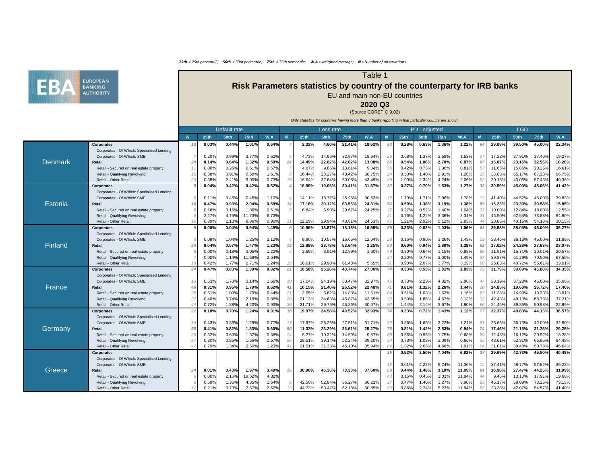## Table 1

# **Risk Parameters statistics by country of the counterparty for IRB banks** EU and main non-EU countries

**2020 Q3**

(Source COREP C 9.02)

|                |                                                                 |    | Default rate   |                |                |                | Loss rate        |                  |                  |                  |                | PD - adjusted  |                |                |                 |                  | <b>LGD</b>       |                  |                  |                  |
|----------------|-----------------------------------------------------------------|----|----------------|----------------|----------------|----------------|------------------|------------------|------------------|------------------|----------------|----------------|----------------|----------------|-----------------|------------------|------------------|------------------|------------------|------------------|
|                |                                                                 |    | <b>25th</b>    | <b>50th</b>    | <b>75th</b>    | W.A            | <b>25th</b>      | <b>50th</b>      | <b>75th</b>      | W.A              | $\overline{N}$ | 25th           | <b>50th</b>    | <b>75th</b>    | W.A             | $\boldsymbol{N}$ | <b>25th</b>      | <b>50th</b>      | 75th             | W.A              |
|                | <b>Corporates</b>                                               |    | 0.03%          | 0.44%          | 1.01%          | 0.64%          | 2.32%            | 4.60%            | 21.41%           | 18.62%           | 63             | 0.28%          | 0.63%          | 1.36%          | 1.22%           |                  | 29.08%           | 39.50%           | 45.00%           | 22.34%           |
|                | Corporates - Of Which: Specialised Lending                      |    |                |                |                |                |                  |                  |                  |                  |                |                |                |                |                 |                  |                  |                  |                  |                  |
|                | Corporates - Of Which: SME                                      |    | 0.20%          | 0.99%          | 3.77%          | 0.62%          | 4.73%            | 14.96%           | 32.97%           | 18.64%           | 26             | 0.68%          | 1.37%          | 2.58%          | 1.53%           | 27               | 17.22%           | 27.91%           | 37.40%           | 19.27%           |
| Denmark        | <b>Retail</b>                                                   |    | 0.14%          | 0.64%          | 1.32%          | 0.59%          | 14.49%           | 22.82%           | 42.02%           | 13.08%           |                | 0.54%          | 1.06%          | 2.70%          | 0.87%           | 67               | 15.07%           | 23.16%           | 32.55%           | 18.26%           |
|                | Retail - Secured on real estate property                        |    | 0.00%          | 0.25%          | 0.61%          | 0.57%          | 4.67%            | 9.86%            | 13.61%           | 9.04%            | 55             | 0.42%          | 0.73%          | 1.36%          | 0.81%           | -57              | 11.66%           | 15.05%           | 20.25%           | 16.61%           |
|                | Retail - Qualifying Revolving                                   |    | $0.38\%$       | 0.91%          | 9.69%          | 1.61%          | 16.44%           | 28.27%           | 40.42%           | 38.75%           |                | 0.50%          | 1.40%          | 2.91%          | 1.26%           | 25               | 33.83%           | 55.17%           | 67.23%           | 56.75%           |
|                | Retail - Other Retail                                           |    | $0.38\%$       | 2.41%          | 9.00%          | 0.73%          | 16.64%           | 37.64%           | 50.08%           | 43.49%           |                | 1.00%          | 2.34%          | 4.24%          | 2.06%           | 52               | 30.16%           | 43.05%           | 57.43%           | 40.36%           |
|                | <b>Corporates</b>                                               |    | 0.04%          | 0.42%          | 0.42%          | 0.52%          | 18.99%           | 19.05%           | 30.41%           | 31.87%           | 32             | 0.27%          | 0.70%          | 1.53%          | 1.27%           | 33               | 39.59%           | 45.00%           | 45.05%           | 41.42%           |
|                | Corporates - Of Which: Specialised Lending                      |    |                |                |                |                |                  |                  |                  |                  |                |                |                |                |                 |                  |                  |                  |                  |                  |
|                | Corporates - Of Which: SME                                      |    | 0.11%          | 0.46%          | 0.46%          | 1.10%          | 14.11%           | 16.77%           | 25.96%           | 30.63%           |                | 1.10%          | 1.71%          | 2.96%          | 1.78%           | 12               | 41.40%           | 44.52%           | 45.00%           | 39.83%           |
| <b>Estonia</b> | <b>Retail</b>                                                   |    | 0.47%          | 0.93%          | 2.04%          | 0.59%          | 17.18%           | 30.12%           | 63.55%           | 24.31%           | 54             | 0.50%          | 1.38%          | 3.19%          | 1.38%           | 53               | 15.23%           | 23.30%           | 39.58%           | 15.85%           |
|                | Retail - Secured on real estate property                        |    | $0.16\%$       | 0.16%          | 1.86%          | 0.51%          | 6.84%            | 6.90%            | 29.67%           | 24.25%           | 37             | 0.27%          | 0.52%          | 1.40%          | 1.04%           | -37              | 10.00%           | 12.84%           | 18.00%           | 12.55%           |
|                | Retail - Qualifying Revolving                                   |    | 2.27%          | 4.75%          | 11.73%         | 6.73%          |                  |                  |                  |                  |                | 0.76%          | 1.22%          | 3.36%          | 2.31%           |                  | 46.50%           | 62.54%           | 73.83%           | 64.60%           |
|                | Retail - Other Retail                                           |    | 0.89%          | 2.13%          | 8.86%          | 0.90%          | 22.29%           | 29.94%           | 43.61%           | 24.51%           |                | 1.21%          | 2.92%          | 5.12%          | 2.83%           |                  | 28.85%           | 40.15%           | 54.18%           | 30.15%           |
|                | <b>Corporates</b>                                               |    | 0.00%          | 0.04%          | 0.94%          | 1.49%          | 10.96%           | 13.87%           | 18.18%           | 16.55%           | 59             | 0.33%          | 0.62%          | 1.03%          | 1.06%           |                  | 29.58%           | 38.05%           | 45.00%           | 35.27%           |
|                | Corporates - Of Which: Specialised Lending                      |    |                |                |                |                |                  |                  |                  |                  |                |                |                |                |                 |                  |                  |                  |                  |                  |
|                | Corporates - Of Which: SME                                      |    | $0.08\%$       | 1.04%          | 1.25%          | 2.12%          | 8.90%            | 10.57%           | 16.65%           | 12.04%           |                | 0.16%          | 0.90%          | 3.26%          | 1.43%           | 23               | 23.46%           | 36.13%           | 45.00%           | 31.88%           |
| <b>Finland</b> | <b>Retail</b>                                                   |    | 0.04%          | 0.57%          | 1.47%          | 1.23%          | 12.88%           | 33.78%           | 53.64%           | 2.25%            | 60             | 0.60%          | 0.94%          | 1.88%          | 1.28%           | 62               | 17.02%           | 24.28%           | 37.63%           | 23.07%           |
|                | Retail - Secured on real estate property                        |    | 0.00%          | 0.18%          | 3.05%          | 1.22%          | 2.69%            | 3.91%            | 12.99%           | 1.60%            |                | 0.30%          | 0.64%          | 1.15%          | 0.88%           | 50               | 11.91%           | 15.71%           | 20.01%           | 20.57%           |
|                | Retail - Qualifying Revolving                                   |    | 0.00%          | 1.14%          | 11.69%         | 2.64%          |                  |                  |                  |                  |                | 0.20%          | 0.77%          | 2.00%          | 1.49%           | 27               | 39.87%           | 61.29%           | 70.50%           | 67.50%           |
|                | Retail - Other Retail                                           |    | 0.42%          | 1.77%          | 2.71%          | .24%           | 16.01%           | 29.90%           | 61.48%           | 5.65%            |                | 0.90%          | 2.07%          | 3.77%          | 3.19%           |                  | 26.03%           | 40.72%           | 55.61%           | 33.01%           |
| France         | <b>Corporates</b>                                               | 24 | 0.47%          | 0.83%          | 1.39%          | 0.92%          | 16.58%           | 25.26%           | 40.74%           | 27.06%           |                | 0.33%          | 0.53%          | 1.81%          | 1.83%           |                  | 31.79%           | 39.69%           | 45.00%           | 34.35%           |
|                | Corporates - Of Which: Specialised Lending                      |    |                |                |                |                |                  |                  |                  |                  |                |                |                |                |                 |                  |                  |                  |                  |                  |
|                | Corporates - Of Which: SME                                      |    | 0.63%          | 1.70%          | 3.14%          | 1.66%          | 17.04%           | 24.19%           | 53.47%           | 32.97%           |                | 0.73%          | 2.28%          | 4.32%          | 2.98%           | $\overline{4}$   | 23.19%           | 37.28%           | 45.00%           | 35.06%           |
|                | <b>Retail</b>                                                   |    | 0.31%          | 0.95%          | 1.79%          | 0.62%          | 10.15%           | 21.40%           | 26.52%           | 22.48%           |                | 0.81%          | 1.32%          | 2.26%          | 1.44%           | 70               | 14.85%           | 19.60%           | 26.72%           | 17.40%           |
|                | Retail - Secured on real estate property                        |    | 0.61%          | 1.03%          | 1.79%          | 0.44%          | 2.95%            | 6.82%            | 14.83%           | 11.51%           |                | 0.61%          | 1.03%          | 1.63%          | 1.16%           |                  | 11.38%           | 14.99%           | 19.33%           | 13.01%           |
|                | Retail - Qualifying Revolving                                   |    | 0.40%          | 0.74%          | 2.19%          | 0.88%          | 21.13%           | 34.63%           | 45.87%           | 43.65%           | 32             | 0.50%          | 1.86%          | 4.67%          | 3.13%           | 32               | 42.43%           | 49.13%           | 68.79%           | 37.21%           |
|                | Retail - Other Retail                                           |    | 0.72%          | 1.88%          | 4.20%          | 0.93%          | 21.71%           | 29.75%           | 45.86%           | 30.07%           |                | 1.44%          | 2.14%          | 3.67%          | 1.90%           | -60              | 24.46%           | 39.85%           | 50.98%           | 22.99%           |
|                | <b>Corporates</b>                                               | 22 | 0.18%          | 0.70%          | 1.24%          | 0.91%          | 19.97%           | 24.58%           | 49.52%           | 32.93%           |                | 0.33%          | 0.72%          | 1.43%          | 1.12%           |                  | 32.37%           | 40.83%           | 44.13%           | 36.57%           |
|                | Corporates - Of Which: Specialised Lending                      |    |                |                |                |                |                  |                  |                  |                  |                |                |                |                |                 |                  |                  |                  |                  |                  |
|                | Corporates - Of Which: SME                                      | 14 | 0.43%          | 0.86%          | 1.29%          | 0.77%          | 17.97%           | 26.26%           | 27.51%           | 31.71%           | 52             | 0.86%          | 1.65%          | 3.22%          | 1.21%           | - 51             | 23.66%           | 36.73%           | 42.00%           | 32.50%           |
| Germany        | <b>Retail</b>                                                   |    | 0.41%          | 0.82%          | 1.83%          | 0.60%          | 11.32%           | 23.29%           | 36.61%           | 25.27%           |                | 0.81%          | 1.42%          | 2.53%          | 0.94%           | 74               | 17.46%           | 21.15%           | 31.25%           | 29.25%           |
|                | Retail - Secured on real estate property                        |    | 0.32%          | 0.60%          | 1.37%          | 0.38%          | 5.27%            | 10.32%           | 14.59%           | 9.87%            |                | 0.56%          | 0.95%          | 1.75%          | 0.68%           | -69              | 12.48%           | 16.12%           | 20.92%           | 18.28%           |
|                | Retail - Qualifying Revolving<br>Retail - Other Retail          |    | 0.30%<br>0.79% | 0.85%<br>1.34% | 1.56%<br>2.50% | 0.57%<br>1.23% | 28.51%<br>21.51% | 39.14%<br>31.33% | 52.24%<br>46.10% | 39.20%<br>35.94% |                | 0.73%<br>1.32% | 1.08%<br>2.66% | 3.09%<br>4.68% | 0.66%<br>1.91%  |                  | 43.61%<br>31.01% | 52.81%<br>39.48% | 66.95%<br>50.78% | 64.48%<br>46.64% |
|                |                                                                 |    |                |                |                |                |                  |                  |                  |                  |                |                |                |                |                 |                  |                  |                  |                  |                  |
|                | <b>Corporates</b><br>Corporates - Of Which: Specialised Lending |    |                |                |                |                |                  |                  |                  |                  | 35             | 0.52%          | 2.50%          | 7.04%          | 6.82%           | -37              | 29.69%           | 42.73%           | 45.50%           | 40.48%           |
|                |                                                                 |    |                |                |                |                |                  |                  |                  |                  |                |                |                |                |                 |                  |                  |                  |                  |                  |
|                | Corporates - Of Which: SME                                      |    |                |                | 1.97%          |                |                  |                  |                  |                  | 12             | 0.61%          | 2.22%          | 9.24%          | 11.36%          | -12              | 37.41%           | 48.77%           | 57.82%           | 39.23%           |
| Greece         | Retail                                                          |    | 0.01%          | 0.43%          | 19.62%         | 3.49%<br>4.32% | 30.96%           | 46.36%           | 70.33%           | 37.60%           | 59             | 0.44%          | 1.48%          | 3.10%<br>1.03% | 11.05%          |                  | 16.98%           | 27.47%           | 44.25%<br>17.91% | 31.09%<br>19.68% |
|                | Retail - Secured on real estate property                        |    | 0.00%          | 2.16%          | 4.35%          |                |                  | 52.84%           | 86.27%           |                  |                | 0.15%<br>0.47% | 0.45%          |                | 11.84%          |                  | 9.46%<br>45.17%  | 13.13%<br>58.09% | 73.25%           | 73.15%           |
|                | Retail - Qualifying Revolving<br>Retail - Other Retail          |    | 0.69%<br>0.21% | 1.36%<br>0.73% | 2.67%          | 1.64%<br>2.62% | 42.50%<br>44.73% | 53.47%           | 62.18%           | 86.21%<br>50.85% |                | 0.86%          | 1.40%<br>2.74% | 3.27%<br>5.23% | 3.90%<br>11.94% |                  | 23.38%           | 42.07%           | 54.57%           | 41.40%           |
|                |                                                                 |    |                |                |                |                |                  |                  |                  |                  |                |                |                |                |                 |                  |                  |                  |                  |                  |

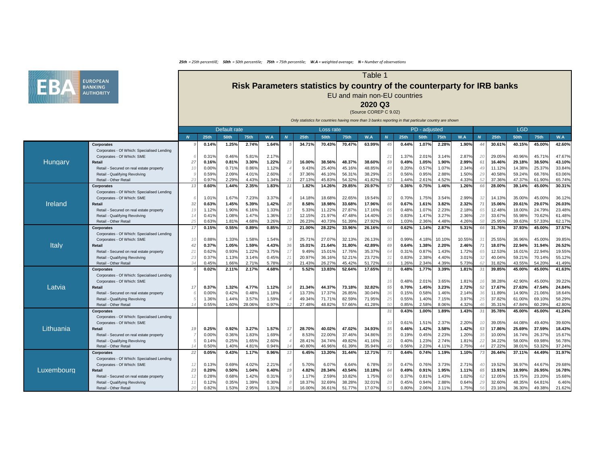#### Table 1

# **Risk Parameters statistics by country of the counterparty for IRB banks** EU and main non-EU countries

**2020 Q3**

(Source COREP C 9.02)

|                |                                                                 | Default rate |                |                |             |                |    |                  | Loss rate        |                  |                  |    |             | PD - adjusted |                |        |                |             | <b>LGD</b>       |                  |        |
|----------------|-----------------------------------------------------------------|--------------|----------------|----------------|-------------|----------------|----|------------------|------------------|------------------|------------------|----|-------------|---------------|----------------|--------|----------------|-------------|------------------|------------------|--------|
|                |                                                                 |              | <b>25th</b>    | <b>50th</b>    | <b>75th</b> | W.A            |    | <b>25th</b>      | <b>50th</b>      | <b>75th</b>      | W.A              |    | <b>25th</b> | <b>50th</b>   | <b>75th</b>    | W.A    | N <sub>1</sub> | <b>25th</b> | <b>50th</b>      | <b>75th</b>      | W.A    |
|                | <b>Corporates</b>                                               |              | 0.14%          | 1.25%          | 2.74%       | 1.64%          |    | 34.71%           | 70.43%           | 70.47%           | 63.99%           |    | 0.44%       | 1.07%         | 2.28%          | 1.90%  |                | 30.61%      | 40.15%           | 45.00%           | 42.60% |
|                | Corporates - Of Which: Specialised Lending                      |              |                |                |             |                |    |                  |                  |                  |                  |    |             |               |                |        |                |             |                  |                  |        |
|                | Corporates - Of Which: SME                                      |              | 0.31%          | 0.46%          | 5.81%       | 2.17%          |    |                  |                  |                  |                  |    | 1.37%       | 2.01%         | 3.14%          | 2.87%  | 20             | 29.05%      | 40.96%           | 45.71%           | 47.67% |
| <b>Hungary</b> | Retail                                                          |              | 0.16%          | 0.81%          | 3.30%       | 1.22%          | 23 | 16.00%           | 38.56%           | 48.37%           | 38.60%           |    | 0.49%       | 1.05%         | 1.90%          | 2.99%  | 61             | 16.46%      | 29.18%           | 38.50%           | 43.10% |
|                | Retail - Secured on real estate property                        |              | 0.00%          | 0.71%          | 0.86%       | 1.12%          |    | 9.43%            | 25.40%           | 45.16%           | 48.85%           |    | 0.20%       | 0.57%         | 1.07%          | 2.34%  | 49             | 11.12%      | 14.38%           | 25.37%           | 33.84% |
|                | Retail - Qualifying Revolving                                   |              | 0.59%          | 2.09%          | 4.01%       | 2.60%          |    | 37.36%           | 46.10%           | 56.31%           | 38.29%           |    | 0.56%       | 0.95%         | 2.88%          | 1.50%  |                | 40.58%      | 59.24%           | 68.76%           | 63.06% |
|                | Retail - Other Retai                                            |              | 0.97%          | 2.29%          | 4.43%       | 1.34%          |    | 27.13%           | 45.83%           | 54.32%           | 41.82%           |    | .44%        | 2.61%         | 4.52%          | 4.33%  | 52             | 37.36%      | 47.37%           | 61.90%           | 65.74% |
|                | <b>Corporates</b>                                               |              | 0.60%          | 1.44%          | 2.35%       | 1.83%          |    | 1.82%            | 14.26%           | 29.85%           | 20.97%           |    | 0.36%       | 0.75%         | 1.46%          | 1.26%  |                | 28.00%      | 39.14%           | 45.00%           | 30.31% |
|                | Corporates - Of Which: Specialised Lending                      |              |                |                |             |                |    |                  |                  |                  |                  |    |             |               |                |        |                |             |                  |                  |        |
|                | Corporates - Of Which: SME                                      |              | 1.01%          | 1.67%          | 7.23%       | 3.37%          |    | 14.18%           | 18.68%           | 22.65%           | 19.54%           | 32 | 0.70%       | 1.75%         | 3.54%          | 2.99%  | 32             | 14.13%      | 35.00%           | 45.00%           | 36.12% |
| <b>Ireland</b> | Retail                                                          | 32           | 0.63%          | 1.45%          | 5.39%       | 1.42%          | 28 | 8.58%            | 18.98%           | 33.68%           | 17.96%           |    | 0.67%       | 1.61%         | 3.82%          | 2.32%  |                | 15.06%      | 20.61%           | 29.07%           | 26.03% |
|                | Retail - Secured on real estate property                        |              | 1.12%          | 1.90%          | 6.16%       | 1.33%          | 17 | 5.33%            | 11.22%           | 27.87%           | 17.16%           |    | 0.48%       | 1.07%         | 2.23%          | 2.18%  | 65             | 12.48%      | 18.00%           | 24.79%           | 23.48% |
|                | Retail - Qualifying Revolving                                   |              | 0.41%          | 1.08%          | 1.47%       | 1.36%          |    | 12.15%           | 21.97%           | 47.48%           | 14.40%           |    | 0.83%       | 1.47%         | 3.27%          | 2.36%  |                | 33.67%      | 55.98%           | 70.62%           | 61.48% |
|                | Retail - Other Retail                                           |              | 0.63%          | 1.81%          | 4.68%       | 3.26%          | 20 | 26.23%           | 40.73%           | 51.39%           | 27.92%           |    | .03%        | 2.36%         | 4.48%          | 4.26%  |                | 25.95%      | 39.63%           | 57.33%           | 62.17% |
|                | <b>Corporates</b>                                               |              | 0.15%          | 0.55%          | 0.89%       | 0.85%          |    | 21.00%           | 28.22%           | 33.96%           | 26.16%           |    | 0.62%       | 1.14%         | 2.87%          | 5.31%  | 66             | 31.76%      | 37.93%           | 45.00%           | 37.57% |
|                | Corporates - Of Which: Specialised Lending                      |              |                |                |             |                |    |                  |                  |                  |                  |    |             |               |                |        |                |             |                  |                  |        |
|                | Corporates - Of Which: SME                                      | 10           | 0.88%          | 1.33%          | 1.58%       | 1.54%          |    | 25.71%           | 27.07%           | 32.13%           | 26.13%           | 30 | 0.99%       | 4.18%         | 10.10%         | 10.55% | 31             | 25.55%      | 36.96%           | 45.00%           | 39.85% |
| <b>Italy</b>   | Retail                                                          |              | 0.37%          | 1.05%          | 1.59%       | 4.43%          | 36 | 15.01%           | 21.64%           | 31.80%           | 42.89%           |    | 0.64%       | 1.38%         | 2.20%          | 2.46%  |                | 18.07%      | 22.94%           | 31.94%           | 26.52% |
|                | Retail - Secured on real estate property                        | 21           | 0.62%          | 0.93%          | 1.22%       | 3.75%          |    | 9.49%            | 15.01%           | 17.76%           | 35.37%           |    | 0.31%       | 0.87%         | 1.43%          | 1.72%  | 65             | 12.53%      | 16.01%           | 22.94%           | 19.55% |
|                | Retail - Qualifying Revolving                                   | 23           | 0.37%          | 1.13%          | 3.14%       | 0.45%          | 21 | 20.97%           | 36.16%           | 52.21%           | 23.72%           |    | 0.83%       | 2.38%         | 4.40%          | 3.01%  | 32             | 40.04%      | 59.21%           | 70.14%           | 55.12% |
|                | Retail - Other Retail                                           |              | 0.45%          | 1.66%          | 2.71%       | 5.78%          | 29 | 21.43%           | 26.27%           | 45.42%           | 51.72%           |    | .26%        | 2.34%         | 4.39%          | 5.73%  |                | 31.82%      | 43.55%           | 54.20%           | 41.49% |
|                | <b>Corporates</b>                                               |              | 0.02%          | 2.11%          | 2.17%       | 4.68%          |    | 5.52%            | 13.83%           | 52.64%           | 17.65%           |    | 0.48%       | 1.77%         | 3.39%          | 1.81%  |                | 39.85%      | 45.00%           | 45.00%           | 41.63% |
|                | Corporates - Of Which: Specialised Lending                      |              |                |                |             |                |    |                  |                  |                  |                  |    |             |               |                |        |                |             |                  |                  |        |
|                | Corporates - Of Which: SME                                      |              |                |                |             |                |    |                  |                  |                  |                  |    | 0.48%       | 2.01%         | 3.65%          | 1.81%  | -16            | 38.28%      | 42.90%           | 45.00%           | 39.22% |
| Latvia         | Retail                                                          | 17           | 0.37%          | 1.32%          | 4.77%       | 1.12%          |    | 21.34%           | 44.37%           | 73.18%           | 32.82%           |    | 0.70%       | 1.45%         | 3.23%          | 2.72%  | 52             | 17.67%      | 27.63%           | 47.54%           | 24.84% |
|                | Retail - Secured on real estate property                        |              | 0.00%          | 0.42%          | 0.48%       | 1.18%          |    | 13.73%           | 17.37%           | 26.85%           | 30.04%           |    | 0.15%       | 0.58%         | .46%           | 2.14%  |                | 11.89%      | 14.90%           | 21.06%           | 18.64% |
|                | Retail - Qualifying Revolving                                   |              | 1.36%<br>0.55% | 1.44%<br>1.60% | 3.57%       | 1.59%<br>0.97% |    | 49.34%<br>27.48% | 71.71%<br>48.82% | 82.59%<br>57.66% | 71.95%<br>41.28% |    | 0.55%       | 1.40%         | 7.15%<br>8.06% | 3.97%  | 25             | 37.82%      | 61.00%<br>47.84% | 69.10%<br>60.29% | 58.29% |
|                | Retail - Other Retail                                           |              |                |                | 28.06%      |                |    |                  |                  |                  |                  |    | 0.85%       | 2.58%         |                | 4.32%  |                | 35.31%      |                  |                  | 42.80% |
|                | <b>Corporates</b><br>Corporates - Of Which: Specialised Lending |              |                |                |             |                |    |                  |                  |                  |                  | 31 | 0.43%       | 1.00%         | 1.89%          | 1.43%  | 31             | 35.78%      | 45.00%           | 45.00%           | 41.24% |
|                | Corporates - Of Which: SME                                      |              |                |                |             |                |    |                  |                  |                  |                  |    | 0.61%       | 1.51%         | 2.37%          | 2.20%  |                | 39.05%      | 44.08%           | 49.40%           | 39.60% |
| Lithuania      | Retail                                                          | 19           | 0.25%          | 0.92%          | 3.27%       | 1.57%          | 17 | 28.70%           | 40.02%           | 47.02%           | 34.93%           |    | 0.46%       | 1.42%         | 3.58%          | 1.42%  | 53             | 17.86%      | 25.69%           | 37.59%           | 18.43% |
|                | Retail - Secured on real estate property                        |              | 0.00%          | 0.36%          | 1.83%       | 1.69%          |    | 8.53%            | 22.00%           | 37.46%           | 34.86%           |    | 0.19%       | 0.45%         | 2.23%          | 1.20%  |                | 10.00%      | 16.74%           | 26.37%           | 15.67% |
|                | Retail - Qualifying Revolving                                   |              | 0.14%          | 0.25%          | 1.65%       | 2.60%          |    | 28.41%           | 34.74%           | 49.82%           | 41.16%           |    | 0.40%       | 1.23%         | 2.74%          | 1.81%  |                | 34.22%      | 58.00%           | 69.98%           | 56.78% |
|                | Retail - Other Retail                                           |              | 0.50%          | 1.40%          | 4.81%       | 0.94%          |    | 40.80%           | 46.96%           | 61.39%           | 35.94%           |    | 0.56%       | 2.23%         | 4.11%          | 2.75%  |                | 27.22%      | 38.01%           | 53.32%           | 37.24% |
|                | <b>Corporates</b>                                               | 22           | 0.05%          | 0.43%          | 1.17%       | 0.96%          |    | 6.45%            | 13.20%           | 31.44%           | 12.71%           |    | 0.44%       | 0.74%         | 1.19%          | 1.10%  |                | 26.44%      | 37.11%           | 44.49%           | 31.97% |
|                | Corporates - Of Which: Specialised Lending                      |              |                |                |             |                |    |                  |                  |                  |                  |    |             |               |                |        |                |             |                  |                  |        |
|                | Corporates - Of Which: SME                                      |              | 0.13%          | 0.69%          | 4.02%       | 2.21%          |    | 5.70%            | 6.07%            | 6.64%            | 6.78%            |    | 0.47%       | $0.76\%$      | 3.73%          | 2.71%  | 40             | 19.52%      | 36.97%           | 44.67%           | 29.68% |
|                | <b>Retail</b>                                                   |              | 0.20%          | 0.50%          | 1.04%       | 0.40%          |    | 4.82%            | 28.34%           | 43.54%           | 10.18%           |    | 0.49%       | 0.91%         | 1.95%          | 1.11%  | -65            | 13.91%      | 18.99%           | 26.95%           | 16.78% |
| Luxembourg     | Retail - Secured on real estate property                        |              | 0.28%          | 0.68%          | 1.42%       | 0.31%          |    | 1.17%            | 2.59%            | 10.82%           | 1.75%            |    | 0.37%       | 0.81%         | 1.43%          | 1.02%  | 62             | 12.05%      | 15.75%           | 23.20%           | 15.68% |
|                | Retail - Qualifying Revolving                                   |              | 0.12%          | 0.35%          | 1.39%       | 0.30%          |    | 18.37%           | 32.69%           | 38.28%           | 32.01%           |    | 0.45%       | 0.94%         | 2.88%          | 0.64%  |                | 32.60%      | 48.35%           | 64.81%           | 6.46%  |
|                | Retail - Other Retail                                           |              | 0.82%          | 1.53%          | 2.95%       | 1.31%          |    | 16.00%           | 36.61%           | 51.77%           | 17.07%           |    | 0.80%       | 2.06%         | 3.11%          | 1.75%  |                | 23.16%      | 36.30%           | 49.38%           | 21.62% |
|                |                                                                 |              |                |                |             |                |    |                  |                  |                  |                  |    |             |               |                |        |                |             |                  |                  |        |

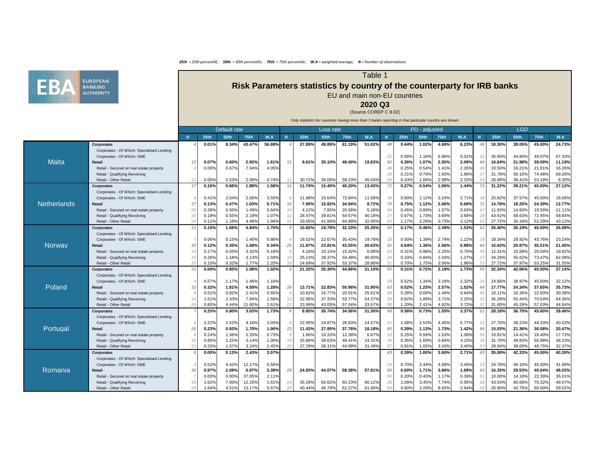### Table 1

# **Risk Parameters statistics by country of the counterparty for IRB banks** EU and main non-EU countries

**2020 Q3**

(Source COREP C 9.02)

|               |                                                                 | Default rate |                |                |                |              |    |                  | Loss rate        |                  |                  |    |                  | PD - adjusted  |                |                |                  |                  | <b>LGD</b>       |                  |                  |
|---------------|-----------------------------------------------------------------|--------------|----------------|----------------|----------------|--------------|----|------------------|------------------|------------------|------------------|----|------------------|----------------|----------------|----------------|------------------|------------------|------------------|------------------|------------------|
|               |                                                                 |              | <b>25th</b>    | <b>50th</b>    | <b>75th</b>    | W.A          |    | <b>25th</b>      | <b>50th</b>      | 75 <sub>th</sub> | W.A              |    | 25 <sub>th</sub> | <b>50th</b>    | <b>75th</b>    | W.A            | $\boldsymbol{N}$ | <b>25th</b>      | <b>50th</b>      | <b>75th</b>      | W.A              |
|               | <b>Corporates</b>                                               |              | 0.01%          | 8.34%          | 43.47%         | 56.88%       |    | 27.89%           | 49.89%           | 61.19%           | 51.02%           |    | 0.44%            | 1.02%          | 4.69%          | 6.23%          |                  | 18.30%           | 38.05%           | 45.00%           | 24.73%           |
|               | Corporates - Of Which: Specialised Lending                      |              |                |                |                |              |    |                  |                  |                  |                  |    |                  |                |                |                |                  |                  |                  |                  |                  |
|               | Corporates - Of Which: SME                                      |              |                |                |                |              |    |                  |                  |                  |                  | 22 | 0.56%            | 1.16%          | 6.86%          | 5.01%          | 22               | 35.60%           | 44.80%           | 49.07%           | 67.33%           |
| <b>Malta</b>  | Retail                                                          |              | 0.07%          | 0.60%          | 2.92%          | 1.61%        |    | 9.61%            | 35.10%           | 49.40%           | 19.83%           | 62 | 0.36%            | 1.07%          | 2.55%          | 2.09%          |                  | 16.64%           | 21.98%           | 39.59%           | 11.19%           |
|               | - Secured on real estate property<br>Retail                     |              | 0.00%          | 0.67%          | 7.94%          | 4.05%        |    |                  |                  |                  |                  |    | 0.25%            | 0.54%          | 1.41%          | 2.35%          |                  | 10.50%           | 16.21%           | 21.81%           | 16.26%           |
|               | Retail - Qualifying Revolving                                   |              |                |                |                |              |    |                  |                  |                  |                  | 26 | 0.21%            | 0.79%          | 1.93%          | 1.86%          | -27              | 31.78%           | 56.10%           | 74.48%           | 69.26%           |
|               | Retail - Other Retail                                           |              | 0.06%          | 0.53%          | 2.08%          | 0.74%        |    | 30.72%           | 36.09%           | 58.23%           | 45.04%           | 56 | 0.43%            | 1.66%          | 2.99%          | 2.33%          |                  | 26.88%           | 38.41%           | 53.18%           | 8.30%            |
|               | <b>Corporates</b>                                               |              | 0.16%          | 0.66%          | 1.88%          | 1.58%        |    | 11.74%           | 15.40%           | 40.20%           | 13.43%           |    | 0.27%            | 0.54%          | 1.06%          | 1.44%          |                  | 31.22%           | 39.21%           | 45.00%           | 27.12%           |
|               | Corporates - Of Which: Specialised Lending                      |              |                |                |                |              |    |                  |                  |                  |                  |    |                  |                |                |                |                  |                  |                  |                  |                  |
|               | Corporates - Of Which: SME                                      |              | 0.41%          | 2.04%          | 2.56%          | 3.55%        |    | 11.88%           | 16.64%           | 72.84%           | 11.68%           | 38 | 0.60%            | 1.12%          | 3.24%          | 2.71%          | 38               | 25.62%           | 37.57%           | 45.00%           | 18.09%           |
| Netherlands   | <b>Retail</b>                                                   |              | 0.13%          | 0.47%          | 1.03%          | 0.71%        | 33 | 7.95%            | 15.82%           | 34.94%           | 9.72%            |    | 0.75%            | 1.12%          | 2.06%          | 0.69%          | 71               | 14.78%           | 18.25%           | 24.39%           | 12.77%           |
|               | Retail - Secured on real estate property                        |              | 0.38%          | 0.50%          | 1.49%          | 0.64%        |    | 4.12%            | 7.95%            | 20.58%           | 5.28%            |    | 0.45%            | 0.89%          | 1.57%          | 0.63%          | 67               | 11.93%           | 14.60%           | 19.59%           | 11.11%           |
|               | Retail - Qualifying Revolving                                   |              | 0.18%          | 0.55%          | 2.19%          | 1.07%        |    | 28.47%           | 39.81%           | 54.57%           | 40.18%           |    | 0.67%            | 1.73%          | 3.69%          | 3.68%          | 29               | 43.61%           | 58.63%           | 72.45%           | 58.84%           |
|               | Retail - Other Retail                                           |              | 0.11%          | 1.16%          | 4.48%          | .94%         |    | 33.05%           | 41.90%           | 64.89%           | 32.00%           |    | 1.17%            | 2.28%          | 3.73%          | 2.12%          |                  | 27.72%           | 35.34%           | 52.29%           | 43.12%           |
|               | <b>Corporates</b>                                               | 13           | 0.15%          | 1.66%          | 4.84%          | 1.70%        |    | 10.82%           | 19.79%           | 32.33%           | 25.35%           |    | 0.17%            | 0.46%          | 1.49%          | 1.53%          | 62               | 26.40%           | 35.19%           | 45.00%           | 26.99%           |
|               | Corporates - Of Which: Specialised Lending                      |              |                |                |                |              |    |                  |                  |                  |                  |    |                  |                |                |                |                  |                  |                  |                  |                  |
| <b>Norway</b> | Corporates - Of Which: SME                                      |              | 0.06%          | 0.15%          | 1.40%          | 0.86%        |    | 18.52%           | 22.67%           | 35.43%           | 19.78%           | 18 | 0.50%            | 1.39%          | 2.74%          | 1.22%          |                  | 18.34%           | 28.92%           | 43.76%           | 23.24%           |
|               | <b>Retail</b>                                                   |              | 0.12%          | 0.35%          | 1.68%          | 0.34%        | 26 | 11.87%           | 23.81%           | 43.55%           | 20.63%           |    | 0.64%            | 1.36%          | 2.56%          | 0.88%          | 64               | 15.62%           | 20.87%           | 35.51%           | 21.45%           |
|               | Retail - Secured on real estate property                        |              | 0.17%          | 0.55%          | 3.42%          | 0.18%        |    | 4.16%            | 10.15%           | 15.42%           | 6.88%            | 55 | 0.31%            | 0.98%          | 2.25%          | 0.75%          | 56               | 12.31%           | 15.58%           | 20.04%           | 19.82%           |
|               | Retail - Qualifying Revolving<br>Retail - Other Retail          |              | 0.26%<br>0.10% | 1.18%<br>0.32% | 3.13%<br>1.77% | .59%<br>.20% |    | 25.13%<br>24.69% | 38.37%<br>37.92% | 54.48%<br>53.37% | 40.00%<br>28.86% |    | 0.33%<br>0.70%   | 0.84%<br>1.75% | 2.43%<br>3.56% | 1.27%<br>1.96% |                  | 34.29%<br>27.72% | 55.62%<br>37.97% | 73.47%<br>53.25% | 62.08%<br>31.55% |
|               |                                                                 |              | 0.00%          | 0.85%          | 1.08%          | 1.02%        |    | 21.32%           | 35.30%           | 44.86%           | 31.10%           | 55 | 0.31%            | 0.72%          | 2.18%          | 1.73%          | 56               | 32.34%           | 42.06%           | 45.00%           | 37.14%           |
|               | <b>Corporates</b><br>Corporates - Of Which: Specialised Lending |              |                |                |                |              |    |                  |                  |                  |                  |    |                  |                |                |                |                  |                  |                  |                  |                  |
| Poland        | Corporates - Of Which: SME                                      |              | 0.57%          | 1.17%          | 1.46%          | 1.16%        |    |                  |                  |                  |                  | 29 | 0.52%            | 1.34%          | 3.19%          | 2.32%          | 31               | 24.66%           | 38.97%           | 45.00%           | 32.12%           |
|               | <b>Retail</b>                                                   |              | 0.32%          | 1.81%          | 4.59%          | 1.28%        | 26 | 13.71%           | 22.83%           | 50.98%           | 31.95%           |    | 0.52%            | 1.25%          | 2.57%          | 1.52%          |                  | 17.77%           | 24.34%           | 37.65%           | 35.73%           |
|               | Retail - Secured on real estate property                        |              | 0.51%          | 0.82%          | 2.41%          | 0.65%        |    | 10.82%           | 16.77%           | 20.91%           | 25.61%           |    | 0.28%            | 0.68%          | 1.49%          | 0.64%          | 56               | 10.11%           | 16.36%           | 22.93%           | 30.38%           |
|               | Retail - Qualifying Revolving                                   |              | 1.51%          | 2.43%          | 7.84%          | .58%         |    | 22.96%           | 37.33%           | 53.77%           | 54.37%           |    | 0.92%            | 1.89%          | 3.71%          | 2.25%          | $3^{\circ}$      | 35.29%           | 55.44%           | 70.54%           | 64.36%           |
|               | Retail - Other Retail                                           | 26           | 0.85%          | 4.44%          | 11.60%         | 2.61%        |    | 23.99%           | 43.05%           | 57.04%           | 33.57%           |    | 1.20%            | 2.41%          | 4.62%          | 3.72%          | -57              | 31.60%           | 45.26%           | 57.03%           | 44.84%           |
|               | <b>Corporates</b>                                               |              | 0.25%          | 0.80%          | 3.03%          | 1.73%        |    | 8.85%            | 26.74%           | 34.56%           | 31.30%           |    | 0.36%            | 0.73%          | 1.55%          | 3.37%          | -51              | 28.18%           | 36.75%           | 45.00%           | 39.46%           |
|               | Corporates - Of Which: Specialised Lending                      |              |                |                |                |              |    |                  |                  |                  |                  |    |                  |                |                |                |                  |                  |                  |                  |                  |
|               | Corporates - Of Which: SME                                      |              | 2.22%          | 2.52%          | 4.16%          | 3.03%        |    | 22.95%           | 24.87%           | 26.63%           | 24.57%           | 22 | 1.08%            | 2.53%          | 4.45%          | 5.77%          | 22               | 27.70%           | 39.23%           | 44.33%           | 40.52%           |
| Portugal      | Retail                                                          |              | 0.23%          | 0.93%          | 1.70%          | 1.06%        |    | 11.43%           | 27.95%           | 37.78%           | 18.18%           |    | 0.39%            | 1.13%          | 1.73%          | 1.42%          |                  | 15.03%           | 21.36%           | 36.58%           | 20.47%           |
|               | Retail - Secured on real estate property                        |              | 0.24%          | 1.36%          | 2.20%          | 0.73%        |    | 1.66%            | 10.33%           | 12.38%           | 6.67%            |    | 0.25%            | 0.56%          | 1.53%          | 1.08%          | -55              | 10.81%           | 14.41%           | 18.40%           | 17.73%           |
|               | Retail - Qualifying Revolving                                   |              | 0.85%          | 1.25%          | 3.14%          | 1.00%        |    | 25.86%           | 38.63%           | 49.41%           | 24.31%           |    | 0.35%            | 1.69%          | 3.84%          | 4.23%          |                  | 31.70%           | 49.83%           | 65.98%           | 38.23%           |
|               | Retail - Other Retail                                           |              | 0.33%          | 1.57%          | 3.24%          | 2.45%        |    | 27.29%           | 38.11%           | 44.99%           | 31.49%           |    | 0.81%            | 1.65%          | 3.43%          | 3.40%          | -57              | 28.94%           | 38.00%           | 48.75%           | 32.37%           |
|               | <b>Corporates</b>                                               |              | 0.00%          | 0.13%          | 2.43%          | 3.07%        |    |                  |                  |                  |                  | 43 | 0.39%            | 1.00%          | 3.60%          | 2.71%          |                  | 35.00%           | 42.33%           | 45.00%           | 40.39%           |
|               | Corporates - Of Which: Specialised Lending                      |              |                |                |                |              |    |                  |                  |                  |                  |    |                  |                |                |                |                  |                  |                  |                  |                  |
|               | Corporates - Of Which: SME                                      |              | 0.52%          | 4.42%          | 12.17%         | 6.56%        |    |                  |                  |                  |                  | 24 | 0.70%            | 2.44%          | 4.58%          | 3.46%          | 23               | 24.78%           | 40.10%           | 45.00%           | 41.99%           |
| Romania       | Retail                                                          |              | 0.97%          | 2.09%          | 6.97%          | 3.39%        | 28 | 24.93%           | 44.07%           | 58.38%           | 57.81%           |    | 0.60%            | 1.71%          | 3.66%          | 1.69%          | -63              | 16.35%           | 29.53%           | 40.04%           | 48.03%           |
|               | Retail - Secured on real estate property                        |              | 0.00%          | 0.00%          | 37.05%         | 2.11%        |    |                  |                  |                  |                  |    | 0.20%            | 0.40%          | 1.17%          | 0.39%          | -51              | 10.00%           | 14.18%           | 22.39%           | 36.01%           |
|               | Retail - Qualifying Revolving                                   |              | 1.62%          | 7.93%          | 12.25%         | 1.61%        |    | 35.29%           | 50.62%           | 60.23%           | 60.12%           | 26 | 1.09%            | 3.45%          | 7.74%          | 0.95%          |                  | 43.54%           | 60.68%           | 70.32%           | 49.07%           |
|               | Retail - Other Retail                                           |              | 1.64%          | 4.51%          | 13.17%         | 5.67%        |    | 40.44%           | 46.79%           | 62.27%           | 61.96%           |    | 0.80%            | 3.29%          | 8.93%          | 2.64%          |                  | 26.80%           | 42.75%           | 60.00%           | 59.02%           |

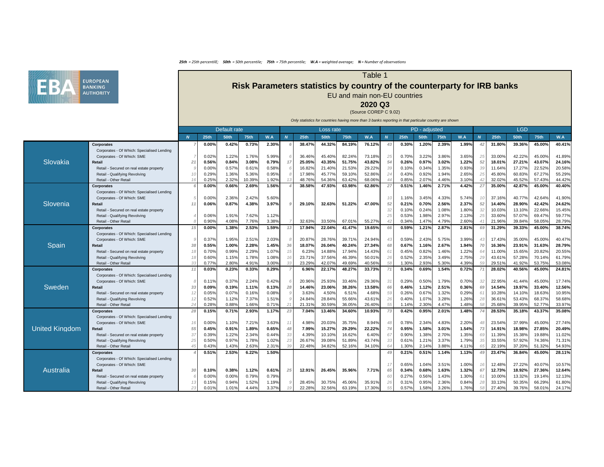### Table 1

# **Risk Parameters statistics by country of the counterparty for IRB banks** EU and main non-EU countries

**2020 Q3**

(Source COREP C 9.02)

|                       |                                               | Default rate    |             |             |             |       |    |             | Loss rate   |             |        |    |       | PD - adjusted |             |       |                |             | <b>LGD</b>  |             |        |
|-----------------------|-----------------------------------------------|-----------------|-------------|-------------|-------------|-------|----|-------------|-------------|-------------|--------|----|-------|---------------|-------------|-------|----------------|-------------|-------------|-------------|--------|
|                       |                                               |                 | <b>25th</b> | <b>50th</b> | <b>75th</b> | W.A   |    | <b>25th</b> | <b>50th</b> | <b>75th</b> | W.A    |    | 25th  | <b>50th</b>   | <b>75th</b> | W.A   | $\overline{N}$ | <b>25th</b> | <b>50th</b> | <b>75th</b> | W.A    |
|                       | <b>Corporates</b>                             |                 | 0.00%       | 0.42%       | 0.73%       | 2.30% |    | 38.47%      | 44.32%      | 84.19%      | 76.12% |    | 0.30% | 1.20%         | 2.39%       | 1.99% |                | 31.80%      | 39.36%      | 45.00%      | 40.41% |
|                       | Corporates - Of Which: Specialised Lending    |                 |             |             |             |       |    |             |             |             |        |    |       |               |             |       |                |             |             |             |        |
|                       | Corporates - Of Which: SME                    |                 | 0.02%       | 1.22%       | 1.76%       | 5.99% |    | 36.46%      | 45.40%      | 82.24%      | 73.18% |    | 0.70% | 3.22%         | 3.86%       | 3.65% | 25             | 33.00%      | 42.22%      | 45.00%      | 41.89% |
| Slovakia              | <b>Retail</b>                                 |                 | 0.56%       | 0.84%       | 3.08%       | 0.79% |    | 25.05%      | 43.35%      | 51.75%      | 43.82% |    | 0.26% | 0.97%         | 3.02%       | 1.22% | 52             | 18.01%      | 27.21%      | 43.07%      | 24.16% |
|                       | Retail - Secured on real estate property      |                 | 0.00%       | 0.57%       | 0.61%       | 0.58% |    | 16.82%      | 21.40%      | 21.53%      | 29.22% | 39 | 0.10% | 0.34%         | 1.35%       | 0.93% | 39             | 11.64%      | 17.27%      | 22.52%      | 20.58% |
|                       | Retail - Qualifying Revolving                 |                 | 0.29%       | 1.36%       | 5.36%       | 0.95% |    | 17.98%      | 45.77%      | 59.10%      | 52.86% |    | 0.43% | 0.92%         | 1.94%       | 2.65% |                | 45.80%      | 60.83%      | 67.27%      | 55.29% |
|                       | Retail - Other Retail                         |                 | 0.25%       | 2.32%       | 0.39%       | 1.92% |    | 48.76%      | 54.36%      | 63.42%      | 68.06% |    | 0.85% | 2.07%         | 4.46%       | 3.10% |                | 32.02%      | 45.52%      | 57.43%      | 44.42% |
|                       | <b>Corporates</b>                             |                 | 0.00%       | 0.66%       | 2.69%       | 1.56% |    | 38.58%      | 47.93%      | 63.98%      | 62.86% |    | 0.51% | 1.46%         | 2.71%       | 4.42% |                | 35.00%      | 42.87%      | 45.00%      | 40.40% |
|                       | Corporates - Of Which: Specialised Lending    |                 |             |             |             |       |    |             |             |             |        |    |       |               |             |       |                |             |             |             |        |
|                       | Corporates - Of Which: SME                    |                 | 0.00%       | 2.36%       | 2.42%       | 5.60% |    |             |             |             |        | 10 | 1.16% | 3.45%         | 4.33%       | 5.74% |                | 37.16%      | 40.77%      | 42.64%      | 41.90% |
| Slovenia              | <b>Retail</b>                                 |                 | 0.06%       | 0.87%       | 4.38%       | 3.97% |    | 29.10%      | 32.63%      | 51.22%      | 47.00% | 52 | 0.21% | 0.70%         | 2.56%       | 2.37% | 52             | 14.40%      | 28.90%      | 42.42%      | 24.62% |
|                       | Retail - Secured on real estate property      |                 |             |             |             |       |    |             |             |             |        | 32 | 0.10% | 0.24%         | 1.08%       | 1.80% | 32             | 10.03%      | 13.10%      | 22.66%      | 15.45% |
|                       | Retail - Qualifying Revolving                 |                 | 0.06%       | 1.91%       | 7.62%       | 1.12% |    |             |             |             |        |    | 0.53% | 1.98%         | 2.97%       | 2.13% |                | 33.60%      | 57.07%      | 69.47%      | 59.77% |
|                       | Retail - Other Retail                         |                 | 0.90%       | 4.08%       | 7.76%       | 3.38% |    | 32.63%      | 33.50%      | 67.01%      | 55.27% |    | 0.34% | 1.47%         | 4.79%       | 2.60% |                | 21.96%      | 39.84%      | 58.059      | 28.79% |
|                       | <b>Corporates</b>                             |                 | 0.00%       | 1.38%       | 2.53%       | 1.59% |    | 17.94%      | 22.04%      | 41.47%      | 19.65% |    | 0.59% | 1.21%         | 2.87%       | 2.81% | 69             | 31.29%      | 39.33%      | 45.00%      | 38.74% |
|                       | Corporates - Of Which: Specialised Lending    |                 |             |             |             |       |    |             |             |             |        |    |       |               |             |       |                |             |             |             |        |
|                       | Corporates - Of Which: SME                    |                 | 0.37%       | 1.95%       | 2.51%       | 2.03% |    | 20.87%      | 28.76%      | 39.71%      | 24.94% | 43 | 0.59% | 2.43%         | 5.75%       | 3.99% | 43             | 17.43%      | 35.00%      | 45.00%      | 40.47% |
| Spain                 | <b>Retail</b>                                 |                 | 0.55%       | 1.00%       | 2.28%       | 1.45% |    | 18.07%      | 26.04%      | 40.24%      | 27.34% |    | 0.67% | 1.16%         | 2.67%       | 1.94% | 70             | 16.36%      | 23.91%      | 31.63%      | 28.79% |
|                       | Retail - Secured on real estate property      |                 | 0.70%       | 0.99%       | 2.29%       | 1.07% |    | 6.23%       | 14.88%      | 17.94%      | 14.43% |    | 0.45% | 0.82%         | 1.46%       | 1.22% | 64             | 11.00%      | 15.65%      | 20.82%      | 20.55% |
|                       | Retail - Qualifying Revolving                 |                 | 0.60%       | 1.15%       | 1.78%       | 1.08% |    | 23.71%      | 37.56%      | 46.39%      | 50.01% |    | 0.52% | 2.35%         | 3.49%       | 2.75% | 2 <sup>0</sup> | 43.61%      | 57.28%      | 70.14%      | 61.79% |
|                       | Retail - Other Retail                         |                 | 0.77%       | 2.80%       | 4.91%       | 3.00% |    | 23.29%      | 42.07%      | 49.69%      | 40.56% |    | 1.30% | 2.93%         | 5.30%       | 4.39% |                | 29.51%      | 41.92%      | 53.75%      | 53.08% |
|                       | <b>Corporates</b>                             |                 | 0.03%       | 0.23%       | 0.33%       | 0.29% |    | 6.96%       | 22.17%      | 48.27%      | 33.73% |    | 0.34% | 0.69%         | 1.54%       | 0.72% |                | 28.02%      | 40.56%      | 45.00%      | 24.81% |
|                       | Corporates - Of Which: Specialised Lending    |                 |             |             |             |       |    |             |             |             |        |    |       |               |             |       |                |             |             |             |        |
|                       | Corporates - Of Which: SME                    |                 | 0.11%       | 0.37%       | 2.24%       | 0.42% |    | 20.96%      | 25.93%      | 33.46%      | 29.36% | 31 | 0.29% | 0.50%         | 1.79%       | 0.70% | 32             | 22.95%      | 41.44%      | 45.00%      | 17.74% |
| Sweden                | <b>Retail</b>                                 |                 | 0.09%       | 0.19%       | 1.11%       | 0.13% |    | 14.46%      | 23.06%      | 38.26%      | 13.58% |    | 0.46% | 1.12%         | 2.51%       | 0.36% | 69             | 14.54%      | 19.97%      | 33.40%      | 12.56% |
|                       | - Secured on real estate property<br>Retail · |                 | 0.05%       | 0.07%       | 0.16%       | 0.08% |    | 3.63%       | 4.50%       | 6.51%       | 4.68%  |    | 0.26% | 0.67%         | 1.32%       | 0.29% | $6^{\circ}$    | 10.28%      | 14.10%      | 18.63%      | 10.95% |
|                       | Retail - Qualifying Revolving                 | 12 <sup>1</sup> | 0.52%       | 1.12%       | 7.37%       | 1.51% |    | 24.84%      | 28.84%      | 55.66%      | 43.61% | 26 | 0.40% | 1.07%         | 3.28%       | 1.26% | 28             | 36.61%      | 53.43%      | 68.37%      | 58.68% |
|                       | Retail - Other Retail                         |                 | 0.28%       | 0.88%       | 1.66%       | 0.71% |    | 21.31%      | 30.59%      | 36.05%      | 26.40% | 55 | 1.14% | 2.30%         | 4.47%       | 1.48% | 58             | 25.68%      | 39.95%      | 52.77%      | 33.97% |
|                       | <b>Corporates</b>                             | 28              | 0.15%       | 0.71%       | 2.93%       | 1.17% |    | 7.04%       | 13.46%      | 34.60%      | 10.93% |    | 0.42% | 0.95%         | 2.01%       | 1.48% |                | 28.53%      | 35.18%      | 43.37%      | 35.08% |
|                       | Corporates - Of Which: Specialised Lending    |                 |             |             |             |       |    |             |             |             |        |    |       |               |             |       |                |             |             |             |        |
|                       | Corporates - Of Which: SME                    |                 | 0.00%       | 1.10%       | 7.21%       | 3.63% |    | 4.98%       | 20.03%      | 35.75%      | 8.94%  |    | 0.78% | 2.34%         | 4.83%       | 2.20% |                | 23.54%      | 37.99%      | 45.00%      | 27.74% |
| <b>United Kingdom</b> | Retail                                        | 55              | 0.45%       | 0.91%       | 1.89%       | 0.65% |    | 7.99%       | 15.27%      | 29.29%      | 22.22% |    | 0.95% | 1.58%         | 3.01%       | 1.54% | 73             | 14.91%      | 18.98%      | 27.85%      | 20.49% |
|                       | Retail - Secured on real estate property      |                 | 0.39%       | 1.22%       | 2.34%       | 0.44% |    | 4.39%       | 10.10%      | 16.62%      | 6.40%  |    | 0.90% | 1.38%         | 2.70%       | 1.35% |                | 11.39%      | 15.38%      | 19.88%      | 11.02% |
|                       | Retail - Qualifying Revolving                 |                 | 0.50%       | 0.97%       | 1.78%       | 1.02% |    | 26.67%      | 39.08%      | 51.89%      | 43.74% |    | 0.61% | 1.21%         | 3.37%       | 1.79% |                | 33.55%      | 57.92%      | 74.36%      | 71.31% |
|                       | Retail - Other Retail                         |                 | 0.43%       | 1.43%       | 2.63%       | 2.31% |    | 22.48%      | 34.82%      | 52.16%      | 34.10% |    | 1.30% | 2.14%         | 3.88%       | 4.11% |                | 22.19%      | 37.20%      | 51.32%      | 54.93% |
|                       | <b>Corporates</b>                             |                 | 0.51%       | 2.53%       | 6.22%       | 1.50% |    |             |             |             |        | 49 | 0.21% | 0.51%         | 1.14%       | 1.13% |                | 23.47%      | 36.84%      | 45.00%      | 28.11% |
|                       | Corporates - Of Which: Specialised Lending    |                 |             |             |             |       |    |             |             |             |        |    |       |               |             |       |                |             |             |             |        |
|                       | Corporates - Of Which: SME                    |                 |             |             |             |       |    |             |             |             |        |    | 0.65% | 1.04%         | 3.51%       | 1.00% |                | 12.48%      | 27.22%      | 40.07%      | 10.57% |
| <b>Australia</b>      | Retail                                        | 30              | 0.10%       | 0.38%       | 1.12%       | 0.61% | 25 | 12.91%      | 26.45%      | 35.96%      | 7.71%  | 65 | 0.34% | 0.68%         | 1.63%       | 1.32% | -67            | 12.73%      | 18.92%      | 27.36%      | 12.64% |
|                       | Retail - Secured on real estate property      |                 | 0.00%       | 0.00%       | 0.79%       | 0.79% |    |             |             |             |        |    | 0.27% | 0.56%         | 1.43%       | 1.30% |                | 10.00%      | 13.32%      | 19.14%      | 12.13% |
|                       | Retail - Qualifying Revolving                 |                 | 0.15%       | 0.94%       | 1.52%       | 1.19% |    | 28.45%      | 30.75%      | 45.06%      | 35.91% | 26 | 0.31% | 0.95%         | 2.36%       | 0.84% |                | 33.13%      | 50.35%      | 66.29%      | 61.80% |
|                       | Retail - Other Retail                         |                 | 0.01%       | 1.01%       | 4.44%       | 3.37% |    | 22.28%      | 32.56%      | 63.19%      | 17.30% |    | 0.57% | 1.58%         | 3.26%       | 1.76% |                | 27.40%      | 39.76%      | 58.01%      | 24.17% |

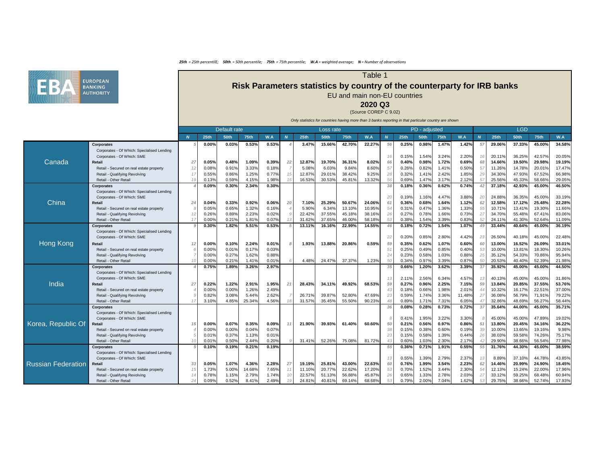### Table 1

# **Risk Parameters statistics by country of the counterparty for IRB banks** EU and main non-EU countries

**2020 Q3**

(Source COREP C 9.02)

|                           |                                            | Default rate     |             |             |             |       |    |             | Loss rate   |        |        |    |                | PD - adjusted  |                |                |                  |                  | <b>LGD</b>       |                  |                  |
|---------------------------|--------------------------------------------|------------------|-------------|-------------|-------------|-------|----|-------------|-------------|--------|--------|----|----------------|----------------|----------------|----------------|------------------|------------------|------------------|------------------|------------------|
|                           |                                            | $\boldsymbol{N}$ | <b>25th</b> | <b>50th</b> | <b>75th</b> | W.A   |    | <b>25th</b> | <b>50th</b> | 75th   | W.A    |    | <b>25th</b>    | <b>50th</b>    | <b>75th</b>    | W.A            | $\boldsymbol{N}$ | <b>25th</b>      | <b>50th</b>      | 75th             | W.A              |
|                           | <b>Corporates</b>                          |                  | 0.00%       | 0.03%       | 0.53%       | 0.53% |    | 3.47%       | 15.66%      | 42.70% | 22.27% | 56 | 0.25%          | 0.98%          | 1.47%          | 1.42%          | -57              | 29.06%           | 37.33%           | 45.00%           | 34.58%           |
|                           | Corporates - Of Which: Specialised Lending |                  |             |             |             |       |    |             |             |        |        |    |                |                |                |                |                  |                  |                  |                  |                  |
|                           | Corporates - Of Which: SME                 |                  |             |             |             |       |    |             |             |        |        |    | 0.15%          | 1.54%          | 3.24%          | 2.20%          | -16              | 20.11%           | 36.25%           | 42.57%           | 20.05%           |
| Canada                    | <b>Retail</b>                              | 27               | 0.05%       | 0.48%       | 1.09%       | 0.39% | 22 | 12.87%      | 19.70%      | 36.31% | 8.02%  | 66 | 0.40%          | 0.98%          | 1.72%          | 0.69%          | 68               | 14.66%           | 19.50%           | 29.98%           | 19.19%           |
|                           | Retail - Secured on real estate property   |                  | 0.08%       | 0.91%       | 3.33%       | 0.18% |    | 5.08%       | 6.03%       | 9.84%  | 8.60%  |    | 0.26%          | 0.82%          | 1.41%          | 0.50%          | 57               | 11.26%           | 14.78%           | 20.01%           | 17.47%           |
|                           | Retail - Qualifying Revolving              |                  | 0.55%       | 0.86%       | 1.25%       | 0.77% |    | 12.87%      | 29.01%      | 38.42% | 9.25%  |    | 0.32%          | 1.41%          | 2.42%          | 1.85%          | 29               | 34.30%           | 47.93%           | 67.52%           | 66.98%           |
|                           | Retail - Other Retail                      |                  | 0.13%       | 0.59%       | 4.15%       | .98%  |    | 16.53%      | 30.53%      | 45.81% | 13.32% | 56 | 0.69%          | 1.47%          | 3.17%          | 2.12%          |                  | 25.56%           | 45.33%           | 58.66%           | 29.05%           |
|                           | <b>Corporates</b>                          |                  | 0.09%       | 0.30%       | 2.34%       | 0.30% |    |             |             |        |        |    | 0.18%          | 0.36%          | 0.62%          | 0.74%          | 42               | 37.18%           | 42.93%           | 45.00%           | 46.50%           |
|                           | Corporates - Of Which: Specialised Lending |                  |             |             |             |       |    |             |             |        |        |    |                |                |                |                |                  |                  |                  |                  |                  |
|                           | Corporates - Of Which: SME                 |                  |             |             |             |       |    |             |             |        |        | 20 | 0.19%          | 1.16%          | 4.47%          | 3.88%          | 20               | 24.88%           | 36.35%           | 45.00%           | 33.19%           |
| China                     | Retail                                     |                  | 0.04%       | 0.33%       | 0.92%       | 0.06% | 20 | 7.10%       | 25.29%      | 50.67% | 24.06% |    | 0.36%          | 0.68%          | 1.64%          | 1.12%          | 62               | 12.58%           | 17.12%           | 25.48%           | 22.28%           |
|                           | Retail - Secured on real estate property   |                  | 0.05%       | 0.65%       | 1.32%       | 0.16% |    | 5.90%       | 6.34%       | 13.10% | 10.95% |    | 0.31%          | 0.47%          | 1.36%          | 1.33%          | 55               | 10.71%           | 13.41%           | 19.30%           | 11.66%           |
|                           | Retail - Qualifying Revolving              |                  | 0.26%       | 0.89%       | 2.23%       | 0.02% |    | 22.42%      | 37.55%      | 45.18% | 38.16% |    | 0.27%          | 0.78%          | 1.66%          | 0.73%          | 27               | 34.70%           | 55.48%           | 67.41%           | 83.06%           |
|                           | Retail - Other Retail                      |                  | 0.00%       | 0.21%       | 1.81%       | 0.07% |    | 31.62%      | 37.65%      | 46.00% | 58.18% |    | 0.38%          | 1.54%          | 3.39%          | 0.83%          |                  | 24.11%           | 41.30%           | 52.64%           | 11.09%           |
|                           | <b>Corporates</b>                          |                  | 0.30%       | 1.82%       | 5.51%       | 0.53% |    | 13.11%      | 16.16%      | 22.99% | 14.55% |    | 0.18%          | 0.72%          | 1.54%          | 1.07%          |                  | $33.44\%$        | 40.64%           | 45.00%           | 36.19%           |
|                           | Corporates - Of Which: Specialised Lending |                  |             |             |             |       |    |             |             |        |        |    |                |                |                |                |                  |                  |                  |                  |                  |
|                           | Corporates - Of Which: SME                 |                  |             |             |             |       |    |             |             |        |        | 22 | 0.20%          | 0.85%          | 2.80%          | 4.42%          | 23               | 26.50%           | 40.18%           | 45.00%           | 22.48%           |
| Hong Kong                 | Retail                                     |                  | 0.00%       | 0.10%       | 2.24%       | 0.01% |    | 1.93%       | 13.88%      | 20.86% | 0.59%  | 59 | 0.35%          | 0.62%          | 1.07%          | 0.60%          | 60               | 13.00%           | 16.52%           | 26.09%           | 33.01%           |
|                           | Retail - Secured on real estate property   |                  | 0.00%       | 0.01%       | 0.17%       | 0.03% |    |             |             |        |        |    | 0.25%          | 0.49%          | 0.85%          | 0.40%          | 53               | 10.00%           | 13.81%           | 18.30%           | 10.26%           |
|                           | Retail - Qualifying Revolving              |                  | 0.00%       | 0.27%       | 1.62%       | 0.88% |    |             |             |        |        |    | 0.23%          | 0.58%          | 1.03%          | 0.88%          |                  | 35.12%           | 54.33%           | 70.86%           | 95.94%           |
|                           | Retail - Other Retail                      |                  | 0.00%       | 0.21%       | 1.41%       | 0.01% |    | 4.48%       | 24.47%      | 37.37% | 1.23%  |    | 0.34%          | 0.97%          | 3.39%          | 0.87%          |                  | 20.53%           | 40.40%           | 52.39%           | 21.98%           |
|                           | <b>Corporates</b>                          |                  | 0.75%       | 1.89%       | 3.26%       | 2.97% |    |             |             |        |        | 35 | 0.66%          | 1.20%          | 3.62%          | 3.39%          | -37              | 35.92%           | 45.00%           | 45.00%           | 44.50%           |
|                           | Corporates - Of Which: Specialised Lending |                  |             |             |             |       |    |             |             |        |        |    |                |                |                |                |                  |                  |                  |                  |                  |
|                           | Corporates - Of Which: SME                 |                  |             |             |             |       |    |             |             |        |        |    | 2.11%          | 2.56%          | 6.34%          | 4.57%          | 13               | 40.13%           | 45.00%           | 45.00%           | 31.86%           |
| India                     | <b>Retail</b>                              |                  | 0.22%       | 1.22%       | 2.91%       | 1.95% | 21 | 28.43%      | 34.11%      | 49.92% | 68.53% | 59 | 0.27%          | 0.96%          | 2.25%          | 7.15%          | 59               | 13.84%           | 20.85%           | 37.55%           | 53.76%           |
|                           | Retail - Secured on real estate property   |                  | 0.00%       | 0.00%       | .26%        | 2.49% |    |             |             |        |        |    | 0.18%          | 0.66%          | 1.98%          | 2.01%          |                  | 10.32%           | 16.17%           | 22.51%           | 37.00%           |
|                           | Retail - Qualifying Revolving              |                  | 0.82%       | 3.08%       | 5.44%       | 2.62% |    | 26.71%      | 39.87%      | 52.80% | 47.69% | 23 | 0.59%          | 1.74%          | 3.36%          | 11.48%         | 27               | 36.08%           | 56.79%           | 71.91%           | 79.22%           |
|                           | Retail - Other Retail                      |                  | 3.10%       | 4.85%       | 25.34%      | 4.56% |    | 31.57%      | 35.45%      | 55.50% | 90.23% |    | 0.89%          | 1.71%          | 7.31%          | 6.05%          |                  | 32.86%           | 48.69%           | 56.27%           | 58.44%           |
|                           | <b>Corporates</b>                          |                  |             |             |             |       |    |             |             |        |        | 36 | 0.08%          | 0.28%          | 0.73%          | 0.72%          | -37              | 35.64%           | 44.00%           | 45.00%           | 35.71%           |
|                           | Corporates - Of Which: Specialised Lending |                  |             |             |             |       |    |             |             |        |        |    |                |                |                |                |                  |                  |                  |                  |                  |
|                           | Corporates - Of Which: SME<br>Retail       |                  | 0.00%       | 0.07%       | 0.35%       | 0.09% |    | 21.90%      | 39.93%      | 61.40% | 60.60% | 50 | 0.41%<br>0.21% | 1.95%<br>0.56% | 3.22%<br>0.97% | 3.30%<br>0.86% | -51              | 45.00%<br>13.80% | 45.00%<br>20.45% | 47.89%<br>34.16% | 19.02%<br>36.22% |
| Korea, Republic Of        | Retail - Secured on real estate property   |                  | 0.00%       | 0.00%       | 0.04%       | 0.07% |    |             |             |        |        | 38 | 0.15%          | 0.38%          | 0.60%          | 0.19%          | -39              | 10.00%           | 13.65%           | 19.16%           | 9.98%            |
|                           | Retail - Qualifying Revolving              |                  | 0.01%       | 0.37%       | 1.13%       | 0.01% |    |             |             |        |        |    | 0.15%          | 0.58%          | 1.39%          | 0.44%          |                  | 38.03%           | 59.58%           | 74.26%           | 75.17%           |
|                           | Retail - Other Retail                      |                  | 0.01%       | 0.50%       | 2.44%       | 0.20% |    | 31.41%      | 52.26%      | 75.08% | 81.72% |    | 0.60%          | 1.03%          | 2.30%          | 2.17%          |                  | 29.90%           | 38.66%           | 56.54%           | 77.98%           |
|                           | <b>Corporates</b>                          |                  | 0.10%       | 0.19%       | 0.21%       | 0.19% |    |             |             |        |        | 55 | 0.36%          | 0.71%          | 1.91%          | 0.55%          | -55              | 31.76%           | 44.30%           | 45.00%           | 38.59%           |
|                           | Corporates - Of Which: Specialised Lending |                  |             |             |             |       |    |             |             |        |        |    |                |                |                |                |                  |                  |                  |                  |                  |
|                           | Corporates - Of Which: SME                 |                  |             |             |             |       |    |             |             |        |        |    | 0.55%          | 1.39%          | 2.79%          | 2.37%          | 13               | 8.89%            | 37.10%           | 44.78%           | 43.85%           |
| <b>Russian Federation</b> | Retail                                     | 33               | 0.05%       | 1.07%       | 4.36%       | 2.28% | 27 | 19.19%      | 25.81%      | 43.00% | 22.63% |    | 0.76%          | 1.99%          | 3.54%          | 2.23%          | 62               | 14.46%           | 20.99%           | 24.90%           | 18.45%           |
|                           | Retail - Secured on real estate property   |                  | 1.73%       | 5.00%       | 14.68%      | 7.65% |    | 11.10%      | 20.77%      | 22.62% | 17.20% |    | 0.70%          | 1.52%          | 3.44%          | 2.30%          |                  | 12.13%           | 15.24%           | 22.00%           | 17.96%           |
|                           | Retail - Qualifying Revolving              |                  | 0.78%       | 1.15%       | 2.79%       | 1.74% |    | 22.57%      | 51.13%      | 56.88% | 45.87% | 26 | 0.65%          | 1.33%          | 2.78%          | 2.03%          |                  | 33.12%           | 59.25%           | 68.48%           | 60.94%           |
|                           | Retail - Other Retail                      |                  | 0.09%       | 0.52%       | 8.41%       | 2.49% |    | 24.81%      | 40.81%      | 69.14% | 68.68% |    | 0.79%          | 2.00%          | 7.04%          | 1.62%          |                  | 29.75%           | 38.66%           | 52.74%           | 17.93%           |

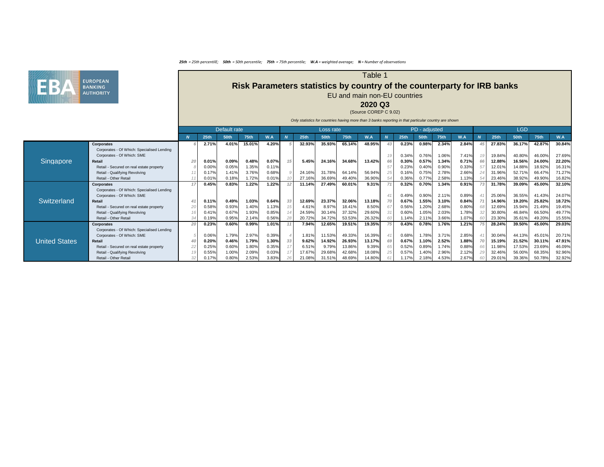

### Table 1

# **Risk Parameters statistics by country of the counterparty for IRB banks** EU and main non-EU countries

**2020 Q3**

(Source COREP C 9.02)

|                      |                                            |          |                  |              |             |       |    |             |             | Unity statistics for countries having more than 5 banks reporting in that particular country are shown |        |             |               |             |       |          |             |             |             |        |
|----------------------|--------------------------------------------|----------|------------------|--------------|-------------|-------|----|-------------|-------------|--------------------------------------------------------------------------------------------------------|--------|-------------|---------------|-------------|-------|----------|-------------|-------------|-------------|--------|
|                      |                                            |          |                  | Default rate |             |       |    |             | Loss rate   |                                                                                                        |        |             | PD - adjusted |             |       |          |             | <b>LGD</b>  |             |        |
|                      |                                            | <b>N</b> | 25 <sub>th</sub> | <b>50th</b>  | <b>75th</b> | W.A   |    | <b>25th</b> | <b>50th</b> | 75th                                                                                                   | W.A    | <b>25th</b> | <b>50th</b>   | <b>75th</b> | W.A   | <b>N</b> | <b>25th</b> | <b>50th</b> | <b>75th</b> | W.A    |
|                      | <b>Corporates</b>                          |          | 2.71%            | 4.01%        | 15.01%      | 4.20% |    | 32.93%      | 35.93%      | 65.14%                                                                                                 | 48.95% | 0.23%       | 0.98%         | 2.34%       | 2.84% |          | 27.83%      | 36.17%      | 42.87%      | 30.84% |
|                      | Corporates - Of Which: Specialised Lending |          |                  |              |             |       |    |             |             |                                                                                                        |        |             |               |             |       |          |             |             |             |        |
|                      | Corporates - Of Which: SME                 |          |                  |              |             |       |    |             |             |                                                                                                        |        | 0.34%       | 0.76%         | 1.06%       | 7.41% |          | 19.84%      | 40.80%      | 46.00%      | 27.69% |
| <b>Singapore</b>     | <b>Retail</b>                              |          | 0.01%            | 0.09%        | 0.48%       | 0.07% |    | 5.45%       | 24.16%      | 34.68%                                                                                                 | 13.42% | 0.30%       | 0.57%         | 1.34%       | 0.71% | 66       | 12.88%      | 16.56%      | 24.00%      | 22.20% |
|                      | Retail - Secured on real estate property   |          | 0.00%            | 0.05%        | 1.35%       | 0.11% |    |             |             |                                                                                                        |        | 0.23%       | 0.40%         | 0.90%       | 0.33% | 57       | 12.01%      | 14.88%      | 18.92%      | 16.31% |
|                      | Retail - Qualifying Revolving              |          | 0.17%            | 1.41%        | 3.76%       | 0.68% |    | 24.16%      | 31.78%      | 64.14%                                                                                                 | 56.94% | 0.16%       | 0.75%         | 2.78%       | 2.66% |          | 31.96%      | 52.71%      | 66.47%      | 71.27% |
|                      | Retail - Other Retail                      |          | 0.01%            | 0.18%        | 1.72%       | 0.01% |    | 27.16%      | 36.69%      | 49.40%                                                                                                 | 36.90% | 0.36%       | $0.77\%$      | 2.58%       | 1.13% |          | 23.46%      | 38.92%      | 49.90%      | 16.82% |
|                      | <b>Corporates</b>                          |          | 0.45%            | 0.83%        | 1.22%       | 1.22% |    | 11.14%      | 27.49%      | 60.01%                                                                                                 | 9.31%  | 0.32%       | 0.70%         | 1.34%       | 0.91% |          | 31.78%      | 39.09%      | 45.00%      | 32.10% |
|                      | Corporates - Of Which: Specialised Lending |          |                  |              |             |       |    |             |             |                                                                                                        |        |             |               |             |       |          |             |             |             |        |
|                      | Corporates - Of Which: SME                 |          |                  |              |             |       |    |             |             |                                                                                                        |        | 0.49%       | 0.90%         | 2.11%       | 0.89% |          | 25.06%      | 36.55%      | 41.43%      | 24.07% |
| <b>Switzerland</b>   | <b>Retail</b>                              |          | 0.11%            | 0.49%        | 1.03%       | 0.64% | 33 | 12.69%      | 23.37%      | 32.06%                                                                                                 | 13.18% | 0.67%       | 1.55%         | 3.10%       | 0.84% |          | 14.96%      | 19.20%      | 25.82%      | 18.72% |
|                      | Retail - Secured on real estate property   |          | 0.58%            | 0.93%        | 1.40%       | 1.13% | 15 | 4.61%       | 8.97%       | 18.41%                                                                                                 | 8.50%  | 0.56%       | 1.20%         | 2.68%       | 0.80% |          | 12.69%      | 15.94%      | 21.49%      | 19.45% |
|                      | Retail - Qualifying Revolving              |          | 0.41%            | 0.67%        | 1.93%       | 0.85% |    | 24.59%      | 30.14%      | 37.32%                                                                                                 | 29.60% | 0.60%       | 1.05%         | 2.03%       | 1.78% |          | 30.80%      | 46.84%      | 66.50%      | 49.77% |
|                      | Retail - Other Retail                      |          | 0.19%            | 0.95%        | 2.14%       | 0.56% |    | 20.72%      | 34.72%      | 53.53%                                                                                                 | 26.32% | 1.14%       | 2.11%         | 3.66%       | 1.07% |          | 23.30%      | 35.61%      | 49.20%      | 15.55% |
|                      | <b>Corporates</b>                          |          | 0.23%            | 0.60%        | 0.99%       | 1.01% |    | 7.94%       | 12.65%      | 19.51%                                                                                                 | 19.35% | 0.43%       | 0.78%         | 1.76%       | 1.21% |          | 28.24%      | 39.50%      | 45.00%      | 29.03% |
|                      | Corporates - Of Which: Specialised Lending |          |                  |              |             |       |    |             |             |                                                                                                        |        |             |               |             |       |          |             |             |             |        |
|                      | Corporates - Of Which: SME                 |          | 0.06%            | 1.79%        | 2.97%       | 0.39% |    | 1.81%       | 11.53%      | 49.33%                                                                                                 | 16.39% | 0.68%       | 1.78%         | 3.71%       | 2.85% |          | 30.04%      | 44.13%      | 45.01%      | 20.71% |
| <b>United States</b> | <b>Retail</b>                              |          | 0.20%            | 0.46%        | 1.79%       | 1.30% | 33 | 9.62%       | 14.92%      | 26.93%                                                                                                 | 13.17% | 0.67%       | 1.10%         | 2.52%       | 1.88% |          | 15.19%      | 21.52%      | 30.11%      | 47.91% |
|                      | Retail - Secured on real estate property   |          | 0.25%            | 0.60%        | 1.80%       | 0.35% |    | 6.51%       | 9.79%       | 13.86%                                                                                                 | 9.39%  | 0.52%       | 0.89%         | 1.74%       | 0.88% |          | 11.98%      | 17.53%      | 23.69%      | 46.09% |
|                      | Retail - Qualifying Revolving              |          | 0.55%            | 1.00%        | 2.09%       | 0.03% |    | 17.67%      | 29.68%      | 42.68%                                                                                                 | 18.08% | 0.57%       | 1.40%         | 2.96%       | 2.12% |          | 32.46%      | 56.00%      | 68.35%      | 92.96% |
|                      | Retail - Other Retail                      |          | 0.17%            | 0.80%        | 2.53%       | 3.83% |    | 21.08%      | 31.51%      | 48.69%                                                                                                 | 14.80% | 1.17%       | 2.18%         | 4.53%       | 2.67% |          | 29.01%      | 39.36%      | 50.78%      | 32.92% |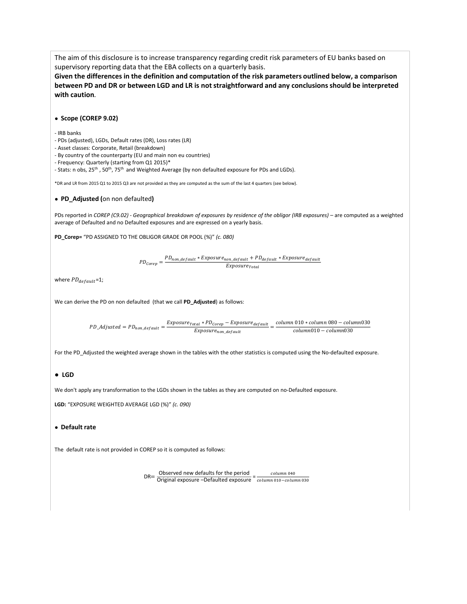The aim of this disclosure is to increase transparency regarding credit risk parameters of EU banks based on supervisory reporting data that the EBA collects on a quarterly basis.

**Given the differences in the definition and computation of the risk parameters outlined below, a comparison between PD and DR or between LGD and LR is not straightforward and any conclusions should be interpreted with caution***.*

#### **● Scope (COREP 9.02)**

#### - IRB banks

- PDs (adjusted), LGDs, Default rates (DR), Loss rates (LR)
- Asset classes: Corporate, Retail (breakdown)
- By country of the counterparty (EU and main non eu countries)
- Frequency: Quarterly (starting from Q1 2015)\*

- Stats: n obs, 25<sup>th</sup>, 50<sup>th</sup>, 75<sup>th</sup> and Weighted Average (by non defaulted exposure for PDs and LGDs).

\*DR and LR from 2015 Q1 to 2015 Q3 are not provided as they are computed as the sum of the last 4 quarters (see below).

#### **● PD\_Adjusted (**on non defaulted**)**

PDs reported in *COREP* (C9.02) - *Geographical breakdown of exposures by residence of the obligor (IRB exposures)* – are computed as a weighted average of Defaulted and no Defaulted exposures and are expressed on a yearly basis.

**PD\_Corep=** "PD ASSIGNED TO THE OBLIGOR GRADE OR POOL (%)" *(c. 080)*

 $PD_{core} = \frac{PD_{non\_default} * Exposure_{non\_default} + PD_{default} * Exposure_{default}}{Exposure_{total}}$ 

where  $PD_{default}$ =1;

We can derive the PD on non defaulted (that we call **PD\_Adjusted**) as follows:

 $PD\_Adjusted = PD_{non\_default} = \frac{EXPosure_{Total} * PD_{Corep} - Exposure_{default}}{Exposure_{non\_default}} = \frac{column~010 * column~080 - column030}{column~010 - column~030}$ 

For the PD\_Adjusted the weighted average shown in the tables with the other statistics is computed using the No-defaulted exposure.

#### **● LGD**

We don't apply any transformation to the LGDs shown in the tables as they are computed on no-Defaulted exposure.

**LGD:** "EXPOSURE WEIGHTED AVERAGE LGD (%)" *(c. 090)*

#### **● Default rate**

The default rate is not provided in COREP so it is computed as follows:

DR=  $\frac{\text{Observed new defaults for the period}}{\text{Original exposure} - \text{Defaulted exposure}} = \frac{column\ 040}{column\ 010 - column\ 030}$